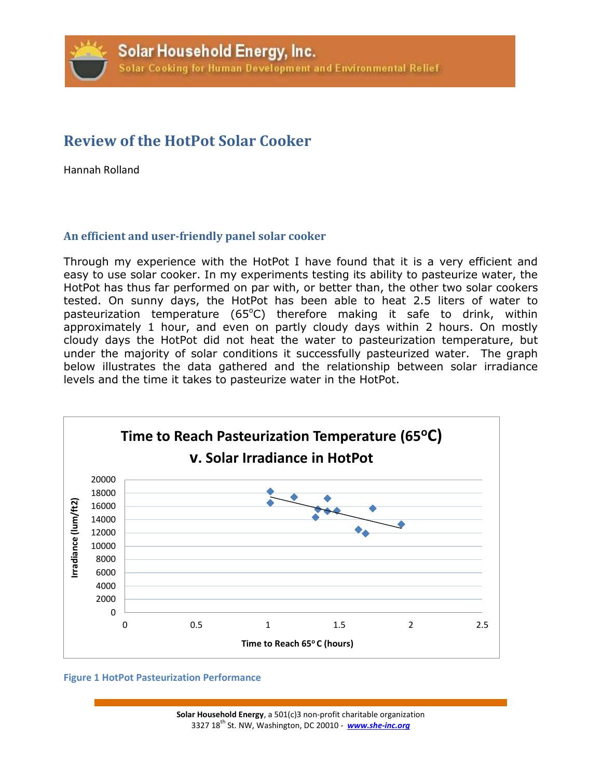# **Review of the HotPot Solar Cooker**

Hannah Rolland

# **An efficient and user-friendly panel solar cooker**

Through my experience with the HotPot I have found that it is a very efficient and easy to use solar cooker. In my experiments testing its ability to pasteurize water, the HotPot has thus far performed on par with, or better than, the other two solar cookers tested. On sunny days, the HotPot has been able to heat 2.5 liters of water to pasteurization temperature  $(65^{\circ}C)$  therefore making it safe to drink, within approximately 1 hour, and even on partly cloudy days within 2 hours. On mostly cloudy days the HotPot did not heat the water to pasteurization temperature, but under the majority of solar conditions it successfully pasteurized water. The graph below illustrates the data gathered and the relationship between solar irradiance levels and the time it takes to pasteurize water in the HotPot.



#### **Figure 1 HotPot Pasteurization Performance**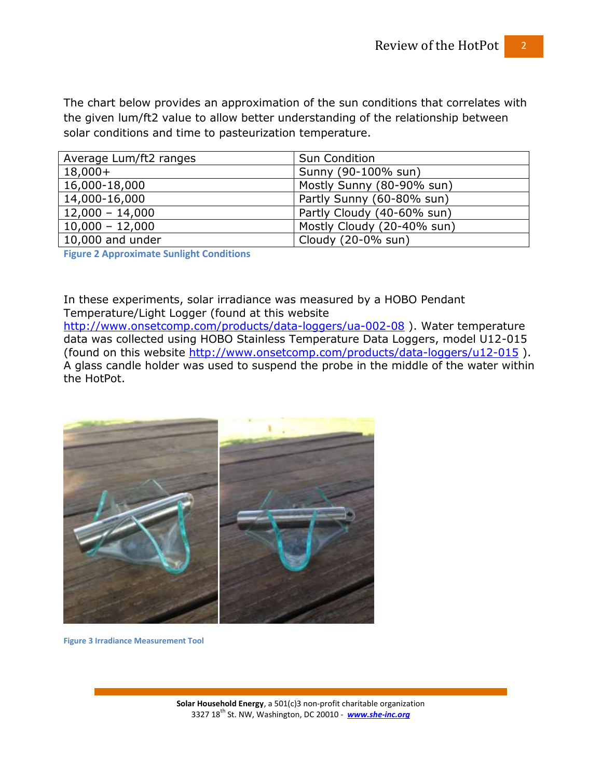The chart below provides an approximation of the sun conditions that correlates with the given lum/ft2 value to allow better understanding of the relationship between solar conditions and time to pasteurization temperature.

| Average Lum/ft2 ranges   | <b>Sun Condition</b>       |
|--------------------------|----------------------------|
| $18,000+$                | Sunny (90-100% sun)        |
| 16,000-18,000            | Mostly Sunny (80-90% sun)  |
| 14,000-16,000            | Partly Sunny (60-80% sun)  |
| $12,000 - 14,000$        | Partly Cloudy (40-60% sun) |
| $10,000 - 12,000$        | Mostly Cloudy (20-40% sun) |
| $\vert$ 10,000 and under | Cloudy (20-0% sun)         |

**Figure 2 Approximate Sunlight Conditions**

In these experiments, solar irradiance was measured by a HOBO Pendant Temperature/Light Logger (found at this website

<http://www.onsetcomp.com/products/data-loggers/ua-002-08> ). Water temperature data was collected using HOBO Stainless Temperature Data Loggers, model U12-015 (found on this website<http://www.onsetcomp.com/products/data-loggers/u12-015> ). A glass candle holder was used to suspend the probe in the middle of the water within the HotPot.



**Figure 3 Irradiance Measurement Tool**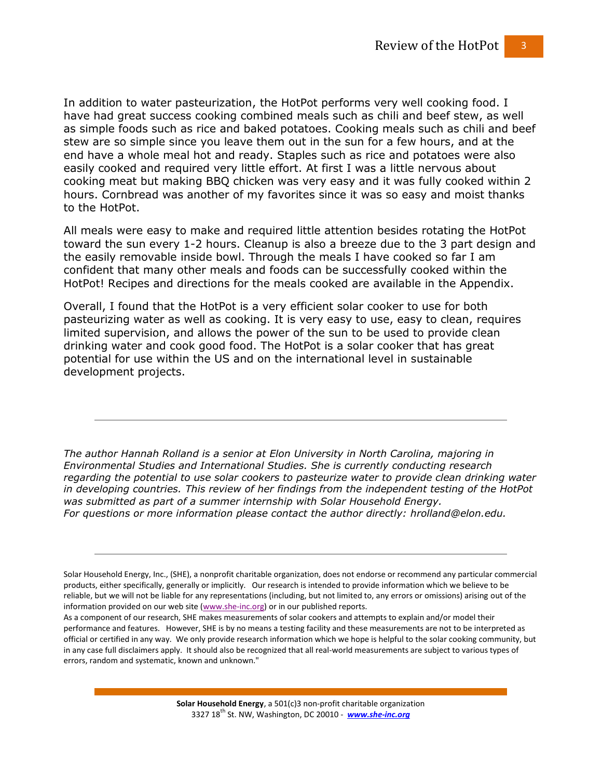In addition to water pasteurization, the HotPot performs very well cooking food. I have had great success cooking combined meals such as chili and beef stew, as well as simple foods such as rice and baked potatoes. Cooking meals such as chili and beef stew are so simple since you leave them out in the sun for a few hours, and at the end have a whole meal hot and ready. Staples such as rice and potatoes were also easily cooked and required very little effort. At first I was a little nervous about cooking meat but making BBQ chicken was very easy and it was fully cooked within 2 hours. Cornbread was another of my favorites since it was so easy and moist thanks to the HotPot.

All meals were easy to make and required little attention besides rotating the HotPot toward the sun every 1-2 hours. Cleanup is also a breeze due to the 3 part design and the easily removable inside bowl. Through the meals I have cooked so far I am confident that many other meals and foods can be successfully cooked within the HotPot! Recipes and directions for the meals cooked are available in the Appendix.

Overall, I found that the HotPot is a very efficient solar cooker to use for both pasteurizing water as well as cooking. It is very easy to use, easy to clean, requires limited supervision, and allows the power of the sun to be used to provide clean drinking water and cook good food. The HotPot is a solar cooker that has great potential for use within the US and on the international level in sustainable development projects.

*The author Hannah Rolland is a senior at Elon University in North Carolina, majoring in Environmental Studies and International Studies. She is currently conducting research regarding the potential to use solar cookers to pasteurize water to provide clean drinking water in developing countries. This review of her findings from the independent testing of the HotPot was submitted as part of a summer internship with Solar Household Energy. For questions or more information please contact the author directly: hrolland@elon.edu.* 

Solar Household Energy, Inc., (SHE), a nonprofit charitable organization, does not endorse or recommend any particular commercial products, either specifically, generally or implicitly. Our research is intended to provide information which we believe to be reliable, but we will not be liable for any representations (including, but not limited to, any errors or omissions) arising out of the information provided on our web site [\(www.she-inc.org\)](http://www.she-inc.org/) or in our published reports.

As a component of our research, SHE makes measurements of solar cookers and attempts to explain and/or model their performance and features. However, SHE is by no means a testing facility and these measurements are not to be interpreted as official or certified in any way. We only provide research information which we hope is helpful to the solar cooking community, but in any case full disclaimers apply. It should also be recognized that all real-world measurements are subject to various types of errors, random and systematic, known and unknown."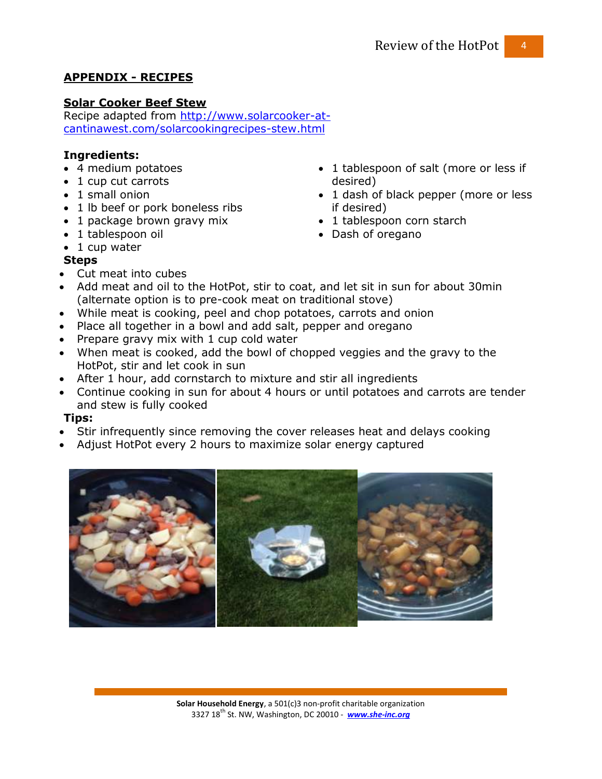# **APPENDIX - RECIPES**

# **Solar Cooker Beef Stew**

Recipe adapted from [http://www.solarcooker-at](http://www.solarcooker-at-cantinawest.com/solarcookingrecipes-stew.html)[cantinawest.com/solarcookingrecipes-stew.html](http://www.solarcooker-at-cantinawest.com/solarcookingrecipes-stew.html)

## **Ingredients:**

- 4 medium potatoes
- 1 cup cut carrots
- 1 small onion
- 1 lb beef or pork boneless ribs
- 1 package brown gravy mix
- 1 tablespoon oil
- 1 tablespoon of salt (more or less if desired) • 1 dash of black pepper (more or less
- if desired)
- 1 tablespoon corn starch
- Dash of oregano

• 1 cup water

# **Steps**

- Cut meat into cubes
- Add meat and oil to the HotPot, stir to coat, and let sit in sun for about 30min (alternate option is to pre-cook meat on traditional stove)
- While meat is cooking, peel and chop potatoes, carrots and onion
- Place all together in a bowl and add salt, pepper and oregano
- Prepare gravy mix with 1 cup cold water
- When meat is cooked, add the bowl of chopped veggies and the gravy to the HotPot, stir and let cook in sun
- After 1 hour, add cornstarch to mixture and stir all ingredients
- Continue cooking in sun for about 4 hours or until potatoes and carrots are tender and stew is fully cooked

## **Tips:**

- Stir infrequently since removing the cover releases heat and delays cooking
- Adjust HotPot every 2 hours to maximize solar energy captured

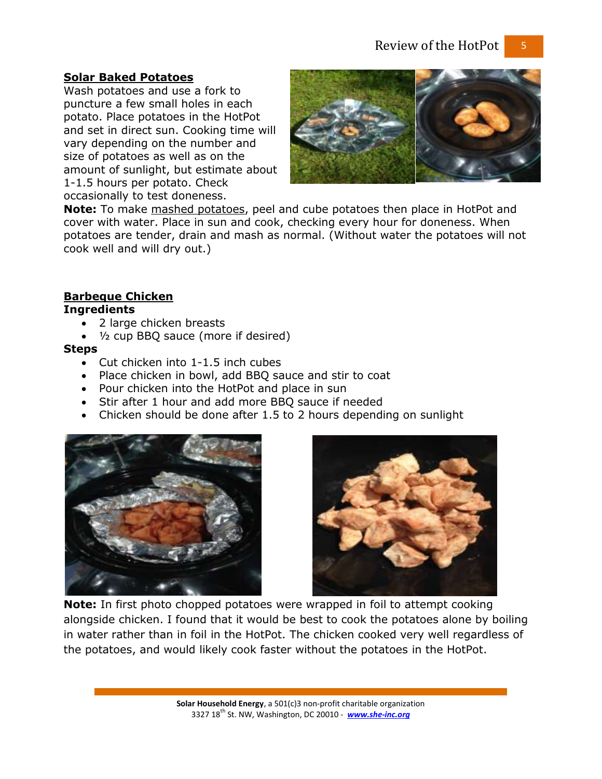#### **Solar Baked Potatoes**

Wash potatoes and use a fork to puncture a few small holes in each potato. Place potatoes in the HotPot and set in direct sun. Cooking time will vary depending on the number and size of potatoes as well as on the amount of sunlight, but estimate about 1-1.5 hours per potato. Check occasionally to test doneness.



**Note:** To make mashed potatoes, peel and cube potatoes then place in HotPot and cover with water. Place in sun and cook, checking every hour for doneness. When potatoes are tender, drain and mash as normal. (Without water the potatoes will not cook well and will dry out.)

# **Barbeque Chicken**

### **Ingredients**

- 2 large chicken breasts
- ½ cup BBQ sauce (more if desired)

#### **Steps**

- Cut chicken into 1-1.5 inch cubes
- Place chicken in bowl, add BBQ sauce and stir to coat
- Pour chicken into the HotPot and place in sun
- Stir after 1 hour and add more BBQ sauce if needed
- Chicken should be done after 1.5 to 2 hours depending on sunlight





**Note:** In first photo chopped potatoes were wrapped in foil to attempt cooking alongside chicken. I found that it would be best to cook the potatoes alone by boiling in water rather than in foil in the HotPot. The chicken cooked very well regardless of the potatoes, and would likely cook faster without the potatoes in the HotPot.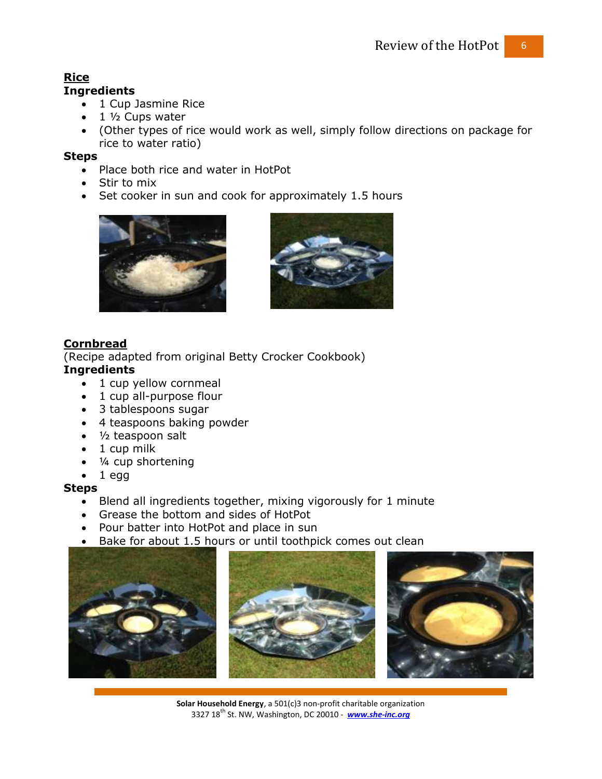# **Rice**

# **Ingredients**

- 1 Cup Jasmine Rice
- $\bullet$  1  $\frac{1}{2}$  Cups water
- (Other types of rice would work as well, simply follow directions on package for rice to water ratio)

#### **Steps**

- Place both rice and water in HotPot
- Stir to mix
- Set cooker in sun and cook for approximately 1.5 hours





# **Cornbread**

(Recipe adapted from original Betty Crocker Cookbook)

# **Ingredients**

- 1 cup yellow cornmeal
- 1 cup all-purpose flour
- 3 tablespoons sugar
- 4 teaspoons baking powder
- 1/2 teaspoon salt
- 1 cup milk
- ¼ cup shortening
- $\bullet$  1 egg

#### **Steps**

- Blend all ingredients together, mixing vigorously for 1 minute
- Grease the bottom and sides of HotPot
- Pour batter into HotPot and place in sun
- Bake for about 1.5 hours or until toothpick comes out clean



**Solar Household Energy**, a 501(c)3 non-profit charitable organization 3327 18th St. NW, Washington, DC 20010 - *[www.she-inc.org](http://www.she-inc.org/)*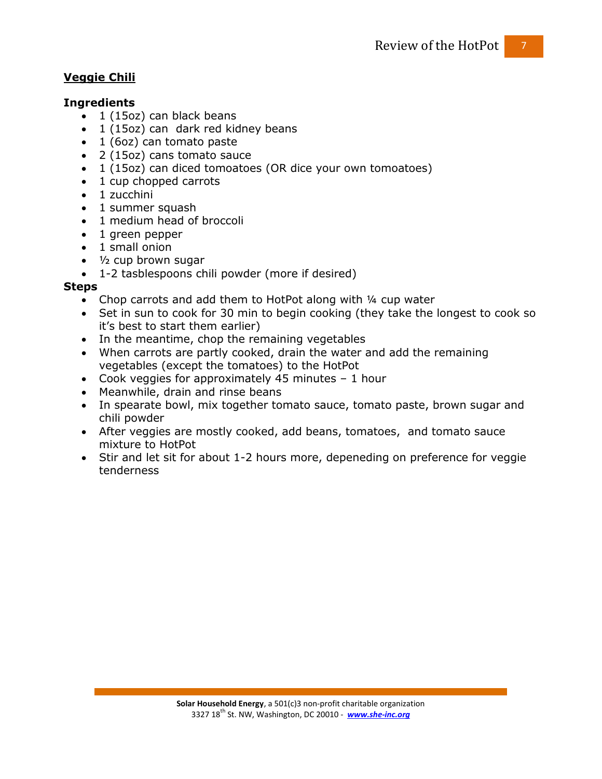# **Veggie Chili**

### **Ingredients**

- $\bullet$  1 (15oz) can black beans
- 1 (15oz) can dark red kidney beans
- 1 (6oz) can tomato paste
- 2 (15oz) cans tomato sauce
- 1 (15oz) can diced tomoatoes (OR dice your own tomoatoes)
- 1 cup chopped carrots
- 1 zucchini
- 1 summer squash
- 1 medium head of broccoli
- 1 green pepper
- 1 small onion
- $\cdot$   $\frac{1}{2}$  cup brown sugar
- 1-2 tasblespoons chili powder (more if desired)

## **Steps**

- Chop carrots and add them to HotPot along with 1/4 cup water
- Set in sun to cook for 30 min to begin cooking (they take the longest to cook so it's best to start them earlier)
- In the meantime, chop the remaining vegetables
- When carrots are partly cooked, drain the water and add the remaining vegetables (except the tomatoes) to the HotPot
- Cook veggies for approximately 45 minutes 1 hour
- Meanwhile, drain and rinse beans
- In spearate bowl, mix together tomato sauce, tomato paste, brown sugar and chili powder
- After veggies are mostly cooked, add beans, tomatoes, and tomato sauce mixture to HotPot
- Stir and let sit for about 1-2 hours more, depeneding on preference for veggie tenderness